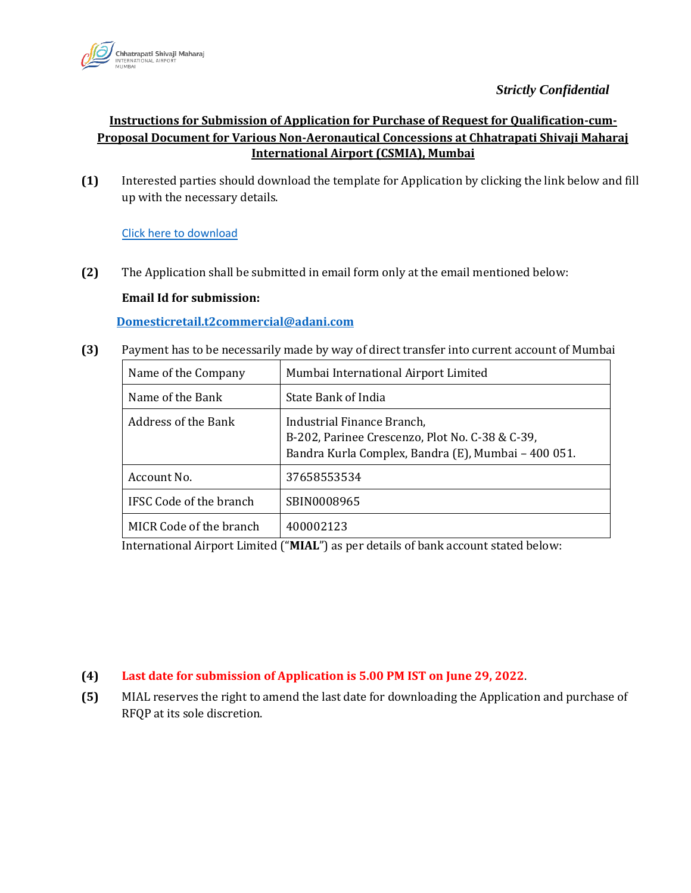

## *Strictly Confidential*

## **Instructions for Submission of Application for Purchase of Request for Qualification-cum-Proposal Document for Various Non-Aeronautical Concessions at Chhatrapati Shivaji Maharaj International Airport (CSMIA), Mumbai**

**(1)** Interested parties should download the template for Application by clicking the link below and fill up with the necessary details.

[Click here to download](https://csmia.adaniairports.com/bizpressrelease/CommercialOpportunities/Application_for_Purchase_16_6_22_1.pdf)

**(2)** The Application shall be submitted in email form only at the email mentioned below:

## **Email Id for submission:**

**Domesticretail.t2commercial@adani.com**

**(3)** Payment has to be necessarily made by way of direct transfer into current account of Mumbai

| Name of the Company     | Mumbai International Airport Limited                                                                                                 |
|-------------------------|--------------------------------------------------------------------------------------------------------------------------------------|
| Name of the Bank        | State Bank of India                                                                                                                  |
| Address of the Bank     | Industrial Finance Branch,<br>B-202, Parinee Crescenzo, Plot No. C-38 & C-39,<br>Bandra Kurla Complex, Bandra (E), Mumbai - 400 051. |
| Account No.             | 37658553534                                                                                                                          |
| IFSC Code of the branch | SBIN0008965                                                                                                                          |
| MICR Code of the branch | 400002123                                                                                                                            |

International Airport Limited ("**MIAL**") as per details of bank account stated below:

## **(4) Last date for submission of Application is 5.00 PM IST on June 29, 2022**.

**(5)** MIAL reserves the right to amend the last date for downloading the Application and purchase of RFQP at its sole discretion.